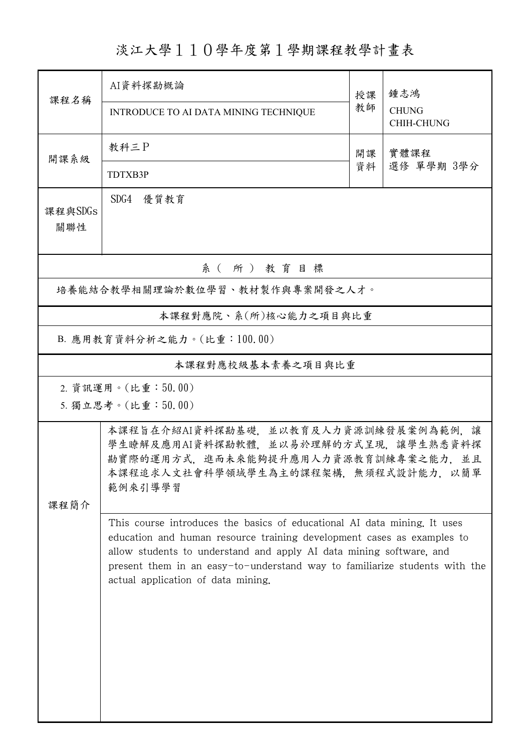淡江大學110學年度第1學期課程教學計畫表

| 課程名稱                           | AI資料探勘概論                                                                                                                                                                                                                                                                                                                                      |          | 鍾志鴻                               |  |  |  |
|--------------------------------|-----------------------------------------------------------------------------------------------------------------------------------------------------------------------------------------------------------------------------------------------------------------------------------------------------------------------------------------------|----------|-----------------------------------|--|--|--|
|                                | INTRODUCE TO AI DATA MINING TECHNIQUE                                                                                                                                                                                                                                                                                                         | 授課<br>教師 | <b>CHUNG</b><br><b>CHIH-CHUNG</b> |  |  |  |
| 開課系級                           | 教科三P                                                                                                                                                                                                                                                                                                                                          | 開課<br>資料 | 實體課程<br>選修 單學期 3學分                |  |  |  |
|                                | TDTXB3P                                                                                                                                                                                                                                                                                                                                       |          |                                   |  |  |  |
| 課程與SDGs<br>關聯性                 | SDG4 優質教育                                                                                                                                                                                                                                                                                                                                     |          |                                   |  |  |  |
| 系 (所) 教育目標                     |                                                                                                                                                                                                                                                                                                                                               |          |                                   |  |  |  |
| 培養能結合教學相關理論於數位學習、教材製作與專案開發之人才。 |                                                                                                                                                                                                                                                                                                                                               |          |                                   |  |  |  |
| 本課程對應院、系(所)核心能力之項目與比重          |                                                                                                                                                                                                                                                                                                                                               |          |                                   |  |  |  |
| B. 應用教育資料分析之能力。(比重:100.00)     |                                                                                                                                                                                                                                                                                                                                               |          |                                   |  |  |  |
| 本課程對應校級基本素養之項目與比重              |                                                                                                                                                                                                                                                                                                                                               |          |                                   |  |  |  |
|                                | 2. 資訊運用。(比重:50.00)<br>5. 獨立思考。(比重:50.00)                                                                                                                                                                                                                                                                                                      |          |                                   |  |  |  |
| 课程简介                           | 本課程旨在介紹AI資料探勘基礎,並以教育及人力資源訓練發展案例為範例,讓<br>學生瞭解及應用AI資料探勘軟體,並以易於理解的方式呈現,讓學生熟悉資料探<br>勘實際的運用方式,進而未來能夠提升應用人力資源教育訓練專案之能力,並且<br>本課程追求人文社會科學領域學生為主的課程架構,無須程式設計能力,以簡單<br>範例來引導學習                                                                                                                                                                         |          |                                   |  |  |  |
|                                | This course introduces the basics of educational AI data mining. It uses<br>education and human resource training development cases as examples to<br>allow students to understand and apply AI data mining software, and<br>present them in an easy-to-understand way to familiarize students with the<br>actual application of data mining. |          |                                   |  |  |  |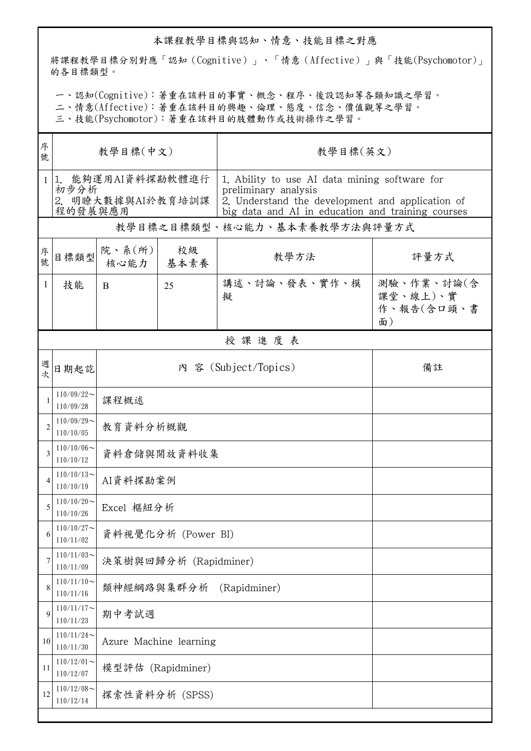## 本課程教學目標與認知、情意、技能目標之對應

將課程教學目標分別對應「認知(Cognitive)」、「情意(Affective)」與「技能(Psychomotor)」 的各目標類型。

一、認知(Cognitive):著重在該科目的事實、概念、程序、後設認知等各類知識之學習。

二、情意(Affective):著重在該科目的興趣、倫理、態度、信念、價值觀等之學習。

三、技能(Psychomotor):著重在該科目的肢體動作或技術操作之學習。

| 序<br>號         | 教學目標(中文)                                                  |                            |                        | 教學目標(英文)                                                                                                                                                                       |                                            |  |  |  |
|----------------|-----------------------------------------------------------|----------------------------|------------------------|--------------------------------------------------------------------------------------------------------------------------------------------------------------------------------|--------------------------------------------|--|--|--|
| 1              | 1. 能夠運用AI資料探勘軟體進行<br>初步分析<br>2. 明瞭大數據與AI於教育培訓課<br>程的發展與應用 |                            |                        | 1. Ability to use AI data mining software for<br>preliminary analysis<br>2. Understand the development and application of<br>big data and AI in education and training courses |                                            |  |  |  |
|                |                                                           |                            |                        | 教學目標之目標類型、核心能力、基本素養教學方法與評量方式                                                                                                                                                   |                                            |  |  |  |
| 序號             | 目標類型                                                      | 院、系(所)<br>核心能力             | 校級<br>基本素養             | 教學方法                                                                                                                                                                           | 評量方式                                       |  |  |  |
| 1              | 技能                                                        | B                          | 25                     | 講述、討論、發表、實作、模<br>擬                                                                                                                                                             | 測驗、作業、討論(含<br>課堂、線上)、實<br>作、報告(含口頭、書<br>面) |  |  |  |
|                | 授課進度表                                                     |                            |                        |                                                                                                                                                                                |                                            |  |  |  |
| 週<br>欤         | 日期起訖                                                      | 內 容 (Subject/Topics)<br>備註 |                        |                                                                                                                                                                                |                                            |  |  |  |
|                | $110/09/22$ ~<br>110/09/28                                | 課程概述                       |                        |                                                                                                                                                                                |                                            |  |  |  |
| $\overline{2}$ | $110/09/29$ ~<br>110/10/05                                | 教育資料分析概觀                   |                        |                                                                                                                                                                                |                                            |  |  |  |
| 3              | $110/10/06 \sim$<br>110/10/12                             | 資料倉儲與開放資料收集                |                        |                                                                                                                                                                                |                                            |  |  |  |
|                | $110/10/13$ ~<br>110/10/19                                | AI資料探勘案例                   |                        |                                                                                                                                                                                |                                            |  |  |  |
|                | $110/10/20$ ~<br>110/10/26                                | Excel 樞紐分析                 |                        |                                                                                                                                                                                |                                            |  |  |  |
| 6              | $110/10/27$ ~<br>110/11/02                                | 資料視覺化分析 (Power BI)         |                        |                                                                                                                                                                                |                                            |  |  |  |
| 7              | $110/11/03$ ~<br>110/11/09                                | 決策樹與回歸分析 (Rapidminer)      |                        |                                                                                                                                                                                |                                            |  |  |  |
| 8              | $110/11/10$ ~<br>110/11/16                                | (Rapidminer)<br>類神經網路與集群分析 |                        |                                                                                                                                                                                |                                            |  |  |  |
| $\mathbf Q$    | $110/11/17$ ~<br>110/11/23                                | 期中考試週                      |                        |                                                                                                                                                                                |                                            |  |  |  |
| 10             | $110/11/24$ ~<br>110/11/30                                |                            | Azure Machine learning |                                                                                                                                                                                |                                            |  |  |  |
| 11             | $110/12/01$ ~<br>110/12/07                                | 模型評估 (Rapidminer)          |                        |                                                                                                                                                                                |                                            |  |  |  |
| 12             | $110/12/08$ ~<br>110/12/14                                | 探索性資料分析 (SPSS)             |                        |                                                                                                                                                                                |                                            |  |  |  |
|                |                                                           |                            |                        |                                                                                                                                                                                |                                            |  |  |  |